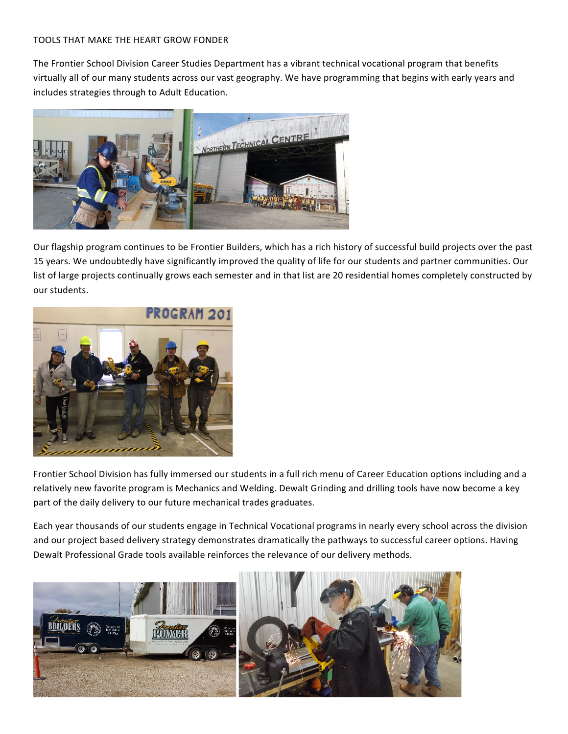## TOOLS THAT MAKE THE HEART GROW FONDER

The Frontier School Division Career Studies Department has a vibrant technical vocational program that benefits virtually all of our many students across our vast geography. We have programming that begins with early years and includes strategies through to Adult Education.



Our flagship program continues to be Frontier Builders, which has a rich history of successful build projects over the past 15 years. We undoubtedly have significantly improved the quality of life for our students and partner communities. Our list of large projects continually grows each semester and in that list are 20 residential homes completely constructed by our students.



Frontier School Division has fully immersed our students in a full rich menu of Career Education options including and a relatively new favorite program is Mechanics and Welding. Dewalt Grinding and drilling tools have now become a key part of the daily delivery to our future mechanical trades graduates.

Each year thousands of our students engage in Technical Vocational programs in nearly every school across the division and our project based delivery strategy demonstrates dramatically the pathways to successful career options. Having Dewalt Professional Grade tools available reinforces the relevance of our delivery methods.